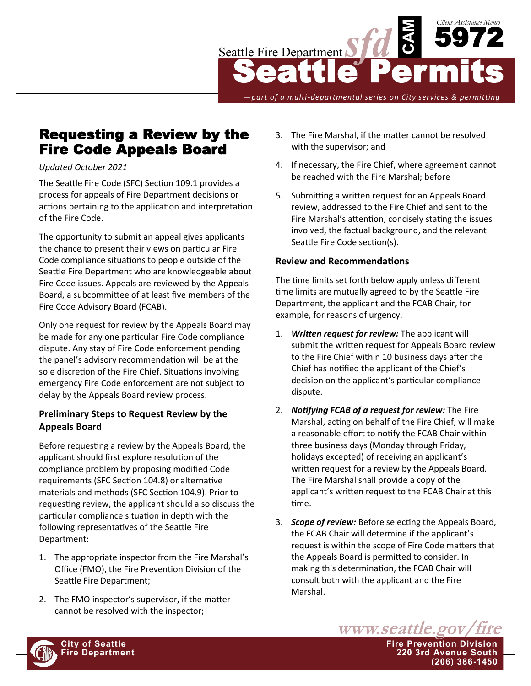

*—part of a multi-departmental series on City services & permitting*

# Requesting a Review by the Fire Code Appeals Board

### *Updated October 2021*

The Seattle Fire Code (SFC) Section 109.1 provides a process for appeals of Fire Department decisions or actions pertaining to the application and interpretation of the Fire Code.

The opportunity to submit an appeal gives applicants the chance to present their views on particular Fire Code compliance situations to people outside of the Seattle Fire Department who are knowledgeable about Fire Code issues. Appeals are reviewed by the Appeals Board, a subcommittee of at least five members of the Fire Code Advisory Board (FCAB).

Only one request for review by the Appeals Board may be made for any one particular Fire Code compliance dispute. Any stay of Fire Code enforcement pending the panel's advisory recommendation will be at the sole discretion of the Fire Chief. Situations involving emergency Fire Code enforcement are not subject to delay by the Appeals Board review process.

## **Preliminary Steps to Request Review by the Appeals Board**

Before requesting a review by the Appeals Board, the applicant should first explore resolution of the compliance problem by proposing modified Code requirements (SFC Section 104.8) or alternative materials and methods (SFC Section 104.9). Prior to requesting review, the applicant should also discuss the particular compliance situation in depth with the following representatives of the Seattle Fire Department:

- 1. The appropriate inspector from the Fire Marshal's Office (FMO), the Fire Prevention Division of the Seattle Fire Department;
- 2. The FMO inspector's supervisor, if the matter cannot be resolved with the inspector;
- 3. The Fire Marshal, if the matter cannot be resolved with the supervisor; and
- 4. If necessary, the Fire Chief, where agreement cannot be reached with the Fire Marshal; before
- 5. Submitting a written request for an Appeals Board review, addressed to the Fire Chief and sent to the Fire Marshal's attention, concisely stating the issues involved, the factual background, and the relevant Seattle Fire Code section(s).

## **Review and Recommendations**

The time limits set forth below apply unless different time limits are mutually agreed to by the Seattle Fire Department, the applicant and the FCAB Chair, for example, for reasons of urgency.

- 1. *Written request for review:* The applicant will submit the written request for Appeals Board review to the Fire Chief within 10 business days after the Chief has notified the applicant of the Chief's decision on the applicant's particular compliance dispute.
- 2. *Notifying FCAB of a request for review:* The Fire Marshal, acting on behalf of the Fire Chief, will make a reasonable effort to notify the FCAB Chair within three business days (Monday through Friday, holidays excepted) of receiving an applicant's written request for a review by the Appeals Board. The Fire Marshal shall provide a copy of the applicant's written request to the FCAB Chair at this time.
- 3. *Scope of review:* Before selecting the Appeals Board, the FCAB Chair will determine if the applicant's request is within the scope of Fire Code matters that the Appeals Board is permitted to consider. In making this determination, the FCAB Chair will consult both with the applicant and the Fire Marshal.

www.seattle.gov/fire

**(206) 386-1450**

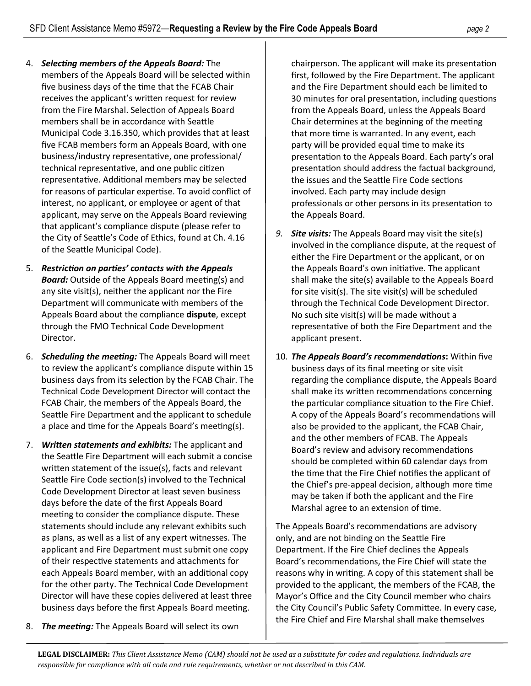- 4. *Selecting members of the Appeals Board:* The members of the Appeals Board will be selected within five business days of the time that the FCAB Chair receives the applicant's written request for review from the Fire Marshal. Selection of Appeals Board members shall be in accordance with Seattle Municipal Code 3.16.350, which provides that at least five FCAB members form an Appeals Board, with one business/industry representative, one professional/ technical representative, and one public citizen representative. Additional members may be selected for reasons of particular expertise. To avoid conflict of interest, no applicant, or employee or agent of that applicant, may serve on the Appeals Board reviewing that applicant's compliance dispute (please refer to the City of Seattle's Code of Ethics, found at Ch. 4.16 of the Seattle Municipal Code).
- 5. *Restriction on parties' contacts with the Appeals Board:* Outside of the Appeals Board meeting(s) and any site visit(s), neither the applicant nor the Fire Department will communicate with members of the Appeals Board about the compliance **dispute**, except through the FMO Technical Code Development Director.
- 6. *Scheduling the meeting:* The Appeals Board will meet to review the applicant's compliance dispute within 15 business days from its selection by the FCAB Chair. The Technical Code Development Director will contact the FCAB Chair, the members of the Appeals Board, the Seattle Fire Department and the applicant to schedule a place and time for the Appeals Board's meeting(s).
- 7. *Written statements and exhibits:* The applicant and the Seattle Fire Department will each submit a concise written statement of the issue(s), facts and relevant Seattle Fire Code section(s) involved to the Technical Code Development Director at least seven business days before the date of the first Appeals Board meeting to consider the compliance dispute. These statements should include any relevant exhibits such as plans, as well as a list of any expert witnesses. The applicant and Fire Department must submit one copy of their respective statements and attachments for each Appeals Board member, with an additional copy for the other party. The Technical Code Development Director will have these copies delivered at least three business days before the first Appeals Board meeting.
- 8. *The meeting:* The Appeals Board will select its own

chairperson. The applicant will make its presentation first, followed by the Fire Department. The applicant and the Fire Department should each be limited to 30 minutes for oral presentation, including questions from the Appeals Board, unless the Appeals Board Chair determines at the beginning of the meeting that more time is warranted. In any event, each party will be provided equal time to make its presentation to the Appeals Board. Each party's oral presentation should address the factual background, the issues and the Seattle Fire Code sections involved. Each party may include design professionals or other persons in its presentation to the Appeals Board.

- *9. Site visits:* The Appeals Board may visit the site(s) involved in the compliance dispute, at the request of either the Fire Department or the applicant, or on the Appeals Board's own initiative. The applicant shall make the site(s) available to the Appeals Board for site visit(s). The site visit(s) will be scheduled through the Technical Code Development Director. No such site visit(s) will be made without a representative of both the Fire Department and the applicant present.
- 10. *The Appeals Board's recommendations***:** Within five business days of its final meeting or site visit regarding the compliance dispute, the Appeals Board shall make its written recommendations concerning the particular compliance situation to the Fire Chief. A copy of the Appeals Board's recommendations will also be provided to the applicant, the FCAB Chair, and the other members of FCAB. The Appeals Board's review and advisory recommendations should be completed within 60 calendar days from the time that the Fire Chief notifies the applicant of the Chief's pre-appeal decision, although more time may be taken if both the applicant and the Fire Marshal agree to an extension of time.

The Appeals Board's recommendations are advisory only, and are not binding on the Seattle Fire Department. If the Fire Chief declines the Appeals Board's recommendations, the Fire Chief will state the reasons why in writing. A copy of this statement shall be provided to the applicant, the members of the FCAB, the Mayor's Office and the City Council member who chairs the City Council's Public Safety Committee. In every case, the Fire Chief and Fire Marshal shall make themselves